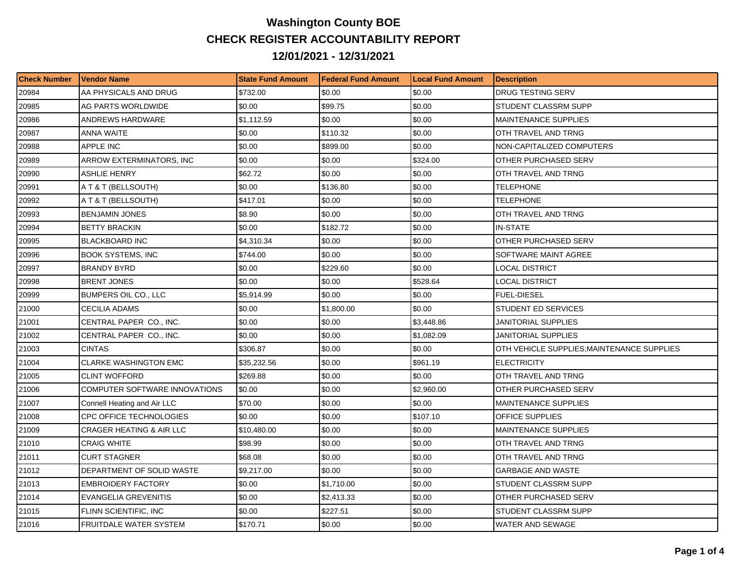## **Washington County BOE CHECK REGISTER ACCOUNTABILITY REPORT 12/01/2021 - 12/31/2021**

| <b>Check Number</b> | <b>Vendor Name</b>                  | <b>State Fund Amount</b> | Federal Fund Amount | <b>ILocal Fund Amount</b> | <b>Description</b>                         |
|---------------------|-------------------------------------|--------------------------|---------------------|---------------------------|--------------------------------------------|
| 20984               | AA PHYSICALS AND DRUG               | \$732.00                 | \$0.00              | \$0.00                    | <b>DRUG TESTING SERV</b>                   |
| 20985               | AG PARTS WORLDWIDE                  | \$0.00                   | \$99.75             | \$0.00                    | STUDENT CLASSRM SUPP                       |
| 20986               | ANDREWS HARDWARE                    | \$1,112.59               | \$0.00              | \$0.00                    | <b>MAINTENANCE SUPPLIES</b>                |
| 20987               | ANNA WAITE                          | \$0.00                   | \$110.32            | \$0.00                    | OTH TRAVEL AND TRNG                        |
| 20988               | APPLE INC                           | \$0.00                   | \$899.00            | \$0.00                    | NON-CAPITALIZED COMPUTERS                  |
| 20989               | ARROW EXTERMINATORS, INC            | \$0.00                   | \$0.00              | \$324.00                  | OTHER PURCHASED SERV                       |
| 20990               | ASHLIE HENRY                        | \$62.72                  | \$0.00              | \$0.00                    | OTH TRAVEL AND TRNG                        |
| 20991               | A T & T (BELLSOUTH)                 | \$0.00                   | \$136.80            | \$0.00                    | TELEPHONE                                  |
| 20992               | A T & T (BELLSOUTH)                 | \$417.01                 | \$0.00              | \$0.00                    | TELEPHONE                                  |
| 20993               | <b>BENJAMIN JONES</b>               | \$8.90                   | \$0.00              | \$0.00                    | OTH TRAVEL AND TRNG                        |
| 20994               | BETTY BRACKIN                       | \$0.00                   | \$182.72            | \$0.00                    | IN-STATE                                   |
| 20995               | <b>BLACKBOARD INC</b>               | \$4,310.34               | \$0.00              | \$0.00                    | OTHER PURCHASED SERV                       |
| 20996               | <b>BOOK SYSTEMS, INC</b>            | \$744.00                 | \$0.00              | \$0.00                    | SOFTWARE MAINT AGREE                       |
| 20997               | <b>BRANDY BYRD</b>                  | \$0.00                   | \$229.60            | \$0.00                    | LOCAL DISTRICT                             |
| 20998               | <b>BRENT JONES</b>                  | \$0.00                   | \$0.00              | \$528.64                  | LOCAL DISTRICT                             |
| 20999               | BUMPERS OIL CO., LLC                | \$5,914.99               | \$0.00              | \$0.00                    | FUEL-DIESEL                                |
| 21000               | CECILIA ADAMS                       | \$0.00                   | \$1,800.00          | \$0.00                    | <b>STUDENT ED SERVICES</b>                 |
| 21001               | CENTRAL PAPER CO., INC.             | \$0.00                   | \$0.00              | \$3,448.86                | <b>JANITORIAL SUPPLIES</b>                 |
| 21002               | CENTRAL PAPER CO., INC.             | \$0.00                   | \$0.00              | \$1,082.09                | JANITORIAL SUPPLIES                        |
| 21003               | <b>CINTAS</b>                       | \$306.87                 | \$0.00              | \$0.00                    | OTH VEHICLE SUPPLIES; MAINTENANCE SUPPLIES |
| 21004               | <b>CLARKE WASHINGTON EMC</b>        | \$35,232.56              | \$0.00              | \$961.19                  | <b>ELECTRICITY</b>                         |
| 21005               | <b>CLINT WOFFORD</b>                | \$269.88                 | \$0.00              | \$0.00                    | OTH TRAVEL AND TRNG                        |
| 21006               | COMPUTER SOFTWARE INNOVATIONS       | \$0.00                   | \$0.00              | \$2,960.00                | OTHER PURCHASED SERV                       |
| 21007               | Connell Heating and Air LLC         | \$70.00                  | \$0.00              | \$0.00                    | <b>MAINTENANCE SUPPLIES</b>                |
| 21008               | <b>CPC OFFICE TECHNOLOGIES</b>      | \$0.00                   | \$0.00              | \$107.10                  | <b>OFFICE SUPPLIES</b>                     |
| 21009               | <b>CRAGER HEATING &amp; AIR LLC</b> | \$10,480.00              | \$0.00              | \$0.00                    | <b>MAINTENANCE SUPPLIES</b>                |
| 21010               | CRAIG WHITE                         | \$98.99                  | \$0.00              | \$0.00                    | OTH TRAVEL AND TRNG                        |
| 21011               | <b>CURT STAGNER</b>                 | \$68.08                  | \$0.00              | \$0.00                    | OTH TRAVEL AND TRNG                        |
| 21012               | DEPARTMENT OF SOLID WASTE           | \$9,217.00               | \$0.00              | \$0.00                    | <b>GARBAGE AND WASTE</b>                   |
| 21013               | <b>EMBROIDERY FACTORY</b>           | \$0.00                   | \$1,710.00          | \$0.00                    | STUDENT CLASSRM SUPP                       |
| 21014               | <b>EVANGELIA GREVENITIS</b>         | \$0.00                   | \$2,413.33          | \$0.00                    | OTHER PURCHASED SERV                       |
| 21015               | FLINN SCIENTIFIC, INC               | \$0.00                   | \$227.51            | \$0.00                    | STUDENT CLASSRM SUPP                       |
| 21016               | FRUITDALE WATER SYSTEM              | \$170.71                 | \$0.00              | \$0.00                    | WATER AND SEWAGE                           |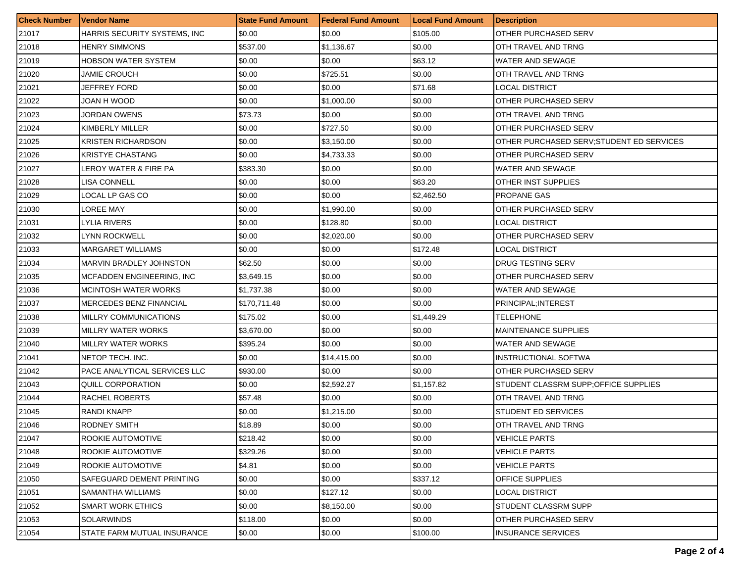| <b>Check Number</b> | <b>Vendor Name</b>             | <b>State Fund Amount</b> | <b>Federal Fund Amount</b> | <b>Local Fund Amount</b> | <b>Description</b>                        |
|---------------------|--------------------------------|--------------------------|----------------------------|--------------------------|-------------------------------------------|
| 21017               | HARRIS SECURITY SYSTEMS, INC   | \$0.00                   | \$0.00                     | \$105.00                 | OTHER PURCHASED SERV                      |
| 21018               | <b>HENRY SIMMONS</b>           | \$537.00                 | \$1,136.67                 | \$0.00                   | OTH TRAVEL AND TRNG                       |
| 21019               | <b>HOBSON WATER SYSTEM</b>     | \$0.00                   | \$0.00                     | \$63.12                  | WATER AND SEWAGE                          |
| 21020               | <b>JAMIE CROUCH</b>            | \$0.00                   | \$725.51                   | \$0.00                   | OTH TRAVEL AND TRNG                       |
| 21021               | JEFFREY FORD                   | \$0.00                   | \$0.00                     | \$71.68                  | LOCAL DISTRICT                            |
| 21022               | JOAN H WOOD                    | \$0.00                   | \$1,000.00                 | \$0.00                   | OTHER PURCHASED SERV                      |
| 21023               | JORDAN OWENS                   | \$73.73                  | \$0.00                     | \$0.00                   | OTH TRAVEL AND TRNG                       |
| 21024               | KIMBERLY MILLER                | \$0.00                   | \$727.50                   | \$0.00                   | OTHER PURCHASED SERV                      |
| 21025               | <b>KRISTEN RICHARDSON</b>      | \$0.00                   | \$3,150.00                 | \$0.00                   | OTHER PURCHASED SERV; STUDENT ED SERVICES |
| 21026               | <b>KRISTYE CHASTANG</b>        | \$0.00                   | \$4,733.33                 | \$0.00                   | OTHER PURCHASED SERV                      |
| 21027               | LEROY WATER & FIRE PA          | \$383.30                 | \$0.00                     | \$0.00                   | WATER AND SEWAGE                          |
| 21028               | LISA CONNELL                   | \$0.00                   | \$0.00                     | \$63.20                  | OTHER INST SUPPLIES                       |
| 21029               | LOCAL LP GAS CO                | \$0.00                   | \$0.00                     | \$2,462.50               | PROPANE GAS                               |
| 21030               | <b>LOREE MAY</b>               | \$0.00                   | \$1,990.00                 | \$0.00                   | OTHER PURCHASED SERV                      |
| 21031               | LYLIA RIVERS                   | \$0.00                   | \$128.80                   | \$0.00                   | LOCAL DISTRICT                            |
| 21032               | <b>LYNN ROCKWELL</b>           | \$0.00                   | \$2,020.00                 | \$0.00                   | OTHER PURCHASED SERV                      |
| 21033               | <b>MARGARET WILLIAMS</b>       | \$0.00                   | \$0.00                     | \$172.48                 | LOCAL DISTRICT                            |
| 21034               | MARVIN BRADLEY JOHNSTON        | \$62.50                  | \$0.00                     | \$0.00                   | DRUG TESTING SERV                         |
| 21035               | MCFADDEN ENGINEERING, INC      | \$3,649.15               | \$0.00                     | \$0.00                   | OTHER PURCHASED SERV                      |
| 21036               | <b>MCINTOSH WATER WORKS</b>    | \$1,737.38               | \$0.00                     | \$0.00                   | WATER AND SEWAGE                          |
| 21037               | <b>MERCEDES BENZ FINANCIAL</b> | \$170,711.48             | \$0.00                     | \$0.00                   | PRINCIPAL; INTEREST                       |
| 21038               | MILLRY COMMUNICATIONS          | \$175.02                 | \$0.00                     | \$1,449.29               | TELEPHONE                                 |
| 21039               | MILLRY WATER WORKS             | \$3,670.00               | \$0.00                     | \$0.00                   | <b>MAINTENANCE SUPPLIES</b>               |
| 21040               | MILLRY WATER WORKS             | \$395.24                 | \$0.00                     | \$0.00                   | WATER AND SEWAGE                          |
| 21041               | NETOP TECH. INC.               | \$0.00                   | \$14,415.00                | \$0.00                   | <b>INSTRUCTIONAL SOFTWA</b>               |
| 21042               | PACE ANALYTICAL SERVICES LLC   | \$930.00                 | \$0.00                     | \$0.00                   | OTHER PURCHASED SERV                      |
| 21043               | QUILL CORPORATION              | \$0.00                   | \$2,592.27                 | \$1,157.82               | STUDENT CLASSRM SUPP; OFFICE SUPPLIES     |
| 21044               | RACHEL ROBERTS                 | \$57.48                  | \$0.00                     | \$0.00                   | OTH TRAVEL AND TRNG                       |
| 21045               | <b>RANDI KNAPP</b>             | \$0.00                   | \$1,215.00                 | \$0.00                   | <b>STUDENT ED SERVICES</b>                |
| 21046               | RODNEY SMITH                   | \$18.89                  | \$0.00                     | \$0.00                   | OTH TRAVEL AND TRNG                       |
| 21047               | ROOKIE AUTOMOTIVE              | \$218.42                 | \$0.00                     | \$0.00                   | <b>VEHICLE PARTS</b>                      |
| 21048               | ROOKIE AUTOMOTIVE              | \$329.26                 | \$0.00                     | \$0.00                   | <b>VEHICLE PARTS</b>                      |
| 21049               | ROOKIE AUTOMOTIVE              | \$4.81                   | \$0.00                     | \$0.00                   | VEHICLE PARTS                             |
| 21050               | SAFEGUARD DEMENT PRINTING      | \$0.00                   | \$0.00                     | \$337.12                 | OFFICE SUPPLIES                           |
| 21051               | SAMANTHA WILLIAMS              | \$0.00                   | \$127.12                   | \$0.00                   | LOCAL DISTRICT                            |
| 21052               | <b>SMART WORK ETHICS</b>       | \$0.00                   | \$8,150.00                 | \$0.00                   | STUDENT CLASSRM SUPP                      |
| 21053               | <b>SOLARWINDS</b>              | \$118.00                 | \$0.00                     | \$0.00                   | OTHER PURCHASED SERV                      |
| 21054               | STATE FARM MUTUAL INSURANCE    | \$0.00                   | \$0.00                     | \$100.00                 | <b>INSURANCE SERVICES</b>                 |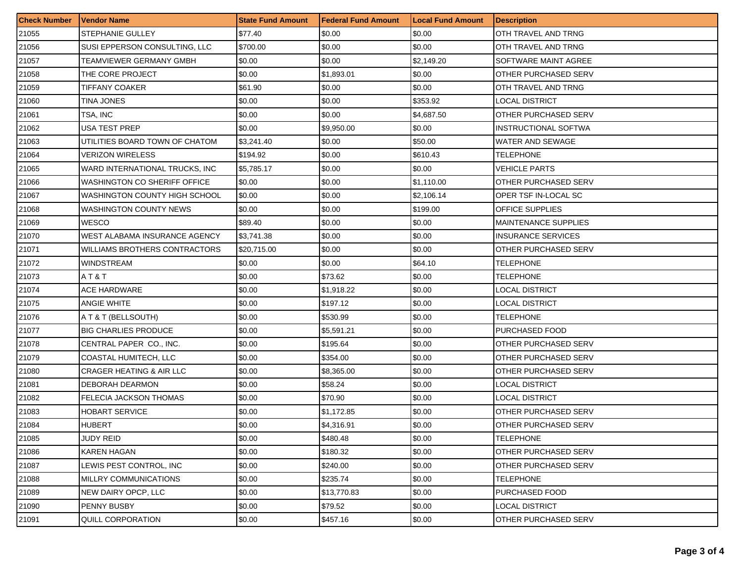| <b>Check Number</b> | Vendor Name                         | <b>State Fund Amount</b> | Federal Fund Amount | <b>Local Fund Amount</b> | <b>Description</b>          |
|---------------------|-------------------------------------|--------------------------|---------------------|--------------------------|-----------------------------|
| 21055               | <b>STEPHANIE GULLEY</b>             | \$77.40                  | \$0.00              | \$0.00                   | OTH TRAVEL AND TRNG         |
| 21056               | SUSI EPPERSON CONSULTING, LLC       | \$700.00                 | $\$0.00$            | \$0.00                   | OTH TRAVEL AND TRNG         |
| 21057               | TEAMVIEWER GERMANY GMBH             | \$0.00                   | \$0.00              | \$2,149.20               | SOFTWARE MAINT AGREE        |
| 21058               | THE CORE PROJECT                    | \$0.00                   | \$1,893.01          | \$0.00                   | OTHER PURCHASED SERV        |
| 21059               | TIFFANY COAKER                      | \$61.90                  | \$0.00              | \$0.00                   | OTH TRAVEL AND TRNG         |
| 21060               | TINA JONES                          | \$0.00                   | \$0.00              | \$353.92                 | <b>LOCAL DISTRICT</b>       |
| 21061               | TSA, INC                            | \$0.00                   | $\$0.00$            | \$4,687.50               | OTHER PURCHASED SERV        |
| 21062               | <b>USA TEST PREP</b>                | \$0.00                   | \$9,950.00          | \$0.00                   | INSTRUCTIONAL SOFTWA        |
| 21063               | UTILITIES BOARD TOWN OF CHATOM      | \$3,241.40               | \$0.00              | \$50.00                  | WATER AND SEWAGE            |
| 21064               | VERIZON WIRELESS                    | \$194.92                 | \$0.00              | \$610.43                 | TELEPHONE                   |
| 21065               | WARD INTERNATIONAL TRUCKS, INC      | \$5,785.17               | \$0.00              | \$0.00                   | <b>VEHICLE PARTS</b>        |
| 21066               | <b>WASHINGTON CO SHERIFF OFFICE</b> | \$0.00                   | $\$0.00$            | \$1,110.00               | OTHER PURCHASED SERV        |
| 21067               | WASHINGTON COUNTY HIGH SCHOOL       | \$0.00                   | \$0.00              | \$2,106.14               | OPER TSF IN-LOCAL SC        |
| 21068               | <b>WASHINGTON COUNTY NEWS</b>       | \$0.00                   | \$0.00              | \$199.00                 | <b>OFFICE SUPPLIES</b>      |
| 21069               | <b>WESCO</b>                        | \$89.40                  | \$0.00              | \$0.00                   | <b>MAINTENANCE SUPPLIES</b> |
| 21070               | WEST ALABAMA INSURANCE AGENCY       | \$3,741.38               | \$0.00              | \$0.00                   | <b>INSURANCE SERVICES</b>   |
| 21071               | WILLIAMS BROTHERS CONTRACTORS       | \$20,715.00              | \$0.00              | \$0.00                   | OTHER PURCHASED SERV        |
| 21072               | WINDSTREAM                          | \$0.00                   | $\$0.00$            | \$64.10                  | <b>TELEPHONE</b>            |
| 21073               | AT&T                                | \$0.00                   | \$73.62             | \$0.00                   | <b>TELEPHONE</b>            |
| 21074               | ACE HARDWARE                        | \$0.00                   | \$1,918.22          | \$0.00                   | LOCAL DISTRICT              |
| 21075               | ANGIE WHITE                         | \$0.00                   | \$197.12            | \$0.00                   | LOCAL DISTRICT              |
| 21076               | A T & T (BELLSOUTH)                 | \$0.00                   | \$530.99            | \$0.00                   | <b>TELEPHONE</b>            |
| 21077               | <b>BIG CHARLIES PRODUCE</b>         | \$0.00                   | \$5,591.21          | \$0.00                   | PURCHASED FOOD              |
| 21078               | CENTRAL PAPER CO., INC.             | \$0.00                   | \$195.64            | \$0.00                   | OTHER PURCHASED SERV        |
| 21079               | COASTAL HUMITECH, LLC               | \$0.00                   | \$354.00            | \$0.00                   | OTHER PURCHASED SERV        |
| 21080               | <b>CRAGER HEATING &amp; AIR LLC</b> | \$0.00                   | \$8,365.00          | \$0.00                   | OTHER PURCHASED SERV        |
| 21081               | DEBORAH DEARMON                     | \$0.00                   | \$58.24             | \$0.00                   | LOCAL DISTRICT              |
| 21082               | FELECIA JACKSON THOMAS              | \$0.00                   | \$70.90             | \$0.00                   | LOCAL DISTRICT              |
| 21083               | <b>HOBART SERVICE</b>               | \$0.00                   | \$1,172.85          | \$0.00                   | OTHER PURCHASED SERV        |
| 21084               | HUBERT                              | \$0.00                   | \$4,316.91          | \$0.00                   | OTHER PURCHASED SERV        |
| 21085               | <b>JUDY REID</b>                    | \$0.00                   | \$480.48            | \$0.00                   | <b>TELEPHONE</b>            |
| 21086               | KAREN HAGAN                         | \$0.00                   | \$180.32            | \$0.00                   | OTHER PURCHASED SERV        |
| 21087               | LEWIS PEST CONTROL, INC             | \$0.00                   | \$240.00            | \$0.00                   | OTHER PURCHASED SERV        |
| 21088               | MILLRY COMMUNICATIONS               | \$0.00                   | \$235.74            | \$0.00                   | <b>TELEPHONE</b>            |
| 21089               | NEW DAIRY OPCP, LLC                 | \$0.00                   | \$13,770.83         | \$0.00                   | PURCHASED FOOD              |
| 21090               | PENNY BUSBY                         | \$0.00                   | \$79.52             | \$0.00                   | <b>LOCAL DISTRICT</b>       |
| 21091               | QUILL CORPORATION                   | \$0.00                   | \$457.16            | \$0.00                   | OTHER PURCHASED SERV        |